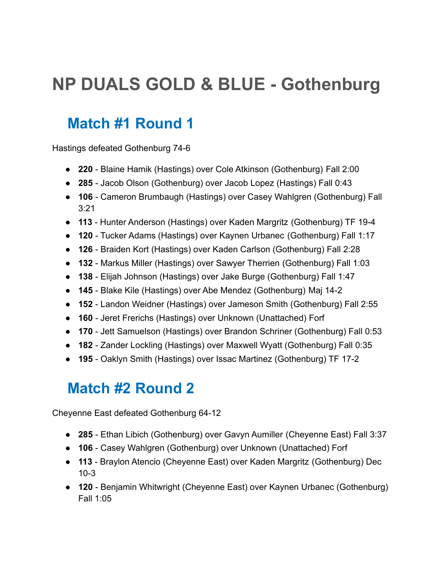# **NP DUALS GOLD & BLUE - Gothenburg**

## **Match #1 Round 1**

Hastings defeated Gothenburg 74-6

- **220** Blaine Hamik (Hastings) over Cole Atkinson (Gothenburg) Fall 2:00
- **285** Jacob Olson (Gothenburg) over Jacob Lopez (Hastings) Fall 0:43
- **106** Cameron Brumbaugh (Hastings) over Casey Wahlgren (Gothenburg) Fall 3:21
- **113** Hunter Anderson (Hastings) over Kaden Margritz (Gothenburg) TF 19-4
- **120** Tucker Adams (Hastings) over Kaynen Urbanec (Gothenburg) Fall 1:17
- **126** Braiden Kort (Hastings) over Kaden Carlson (Gothenburg) Fall 2:28
- **132** Markus Miller (Hastings) over Sawyer Therrien (Gothenburg) Fall 1:03
- **138** Elijah Johnson (Hastings) over Jake Burge (Gothenburg) Fall 1:47
- **145** Blake Kile (Hastings) over Abe Mendez (Gothenburg) Maj 14-2
- **152** Landon Weidner (Hastings) over Jameson Smith (Gothenburg) Fall 2:55
- **160** Jeret Frerichs (Hastings) over Unknown (Unattached) Forf
- **170** Jett Samuelson (Hastings) over Brandon Schriner (Gothenburg) Fall 0:53
- **182** Zander Lockling (Hastings) over Maxwell Wyatt (Gothenburg) Fall 0:35
- **195** Oaklyn Smith (Hastings) over Issac Martinez (Gothenburg) TF 17-2

## **Match #2 Round 2**

Cheyenne East defeated Gothenburg 64-12

- **285** Ethan Libich (Gothenburg) over Gavyn Aumiller (Cheyenne East) Fall 3:37
- **106** Casey Wahlgren (Gothenburg) over Unknown (Unattached) Forf
- **113** Braylon Atencio (Cheyenne East) over Kaden Margritz (Gothenburg) Dec 10-3
- **120** Benjamin Whitwright (Cheyenne East) over Kaynen Urbanec (Gothenburg) Fall 1:05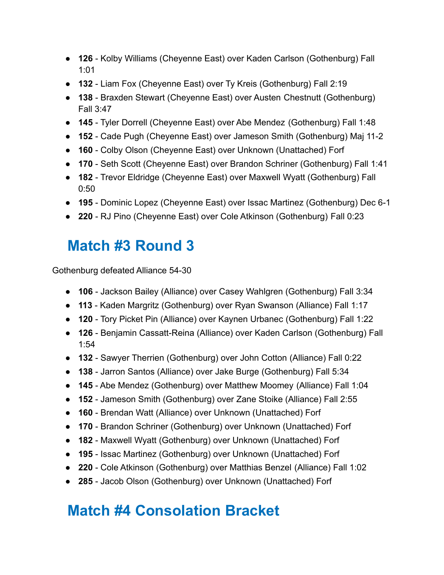- **126** Kolby Williams (Cheyenne East) over Kaden Carlson (Gothenburg) Fall 1:01
- **132** Liam Fox (Cheyenne East) over Ty Kreis (Gothenburg) Fall 2:19
- **138** Braxden Stewart (Cheyenne East) over Austen Chestnutt (Gothenburg) Fall 3:47
- **145** Tyler Dorrell (Cheyenne East) over Abe Mendez (Gothenburg) Fall 1:48
- **152** Cade Pugh (Cheyenne East) over Jameson Smith (Gothenburg) Maj 11-2
- **160** Colby Olson (Cheyenne East) over Unknown (Unattached) Forf
- **170** Seth Scott (Cheyenne East) over Brandon Schriner (Gothenburg) Fall 1:41
- **182** Trevor Eldridge (Cheyenne East) over Maxwell Wyatt (Gothenburg) Fall 0:50
- **195** Dominic Lopez (Cheyenne East) over Issac Martinez (Gothenburg) Dec 6-1
- **220** RJ Pino (Cheyenne East) over Cole Atkinson (Gothenburg) Fall 0:23

#### **Match #3 Round 3**

Gothenburg defeated Alliance 54-30

- **106** Jackson Bailey (Alliance) over Casey Wahlgren (Gothenburg) Fall 3:34
- **113** Kaden Margritz (Gothenburg) over Ryan Swanson (Alliance) Fall 1:17
- **120** Tory Picket Pin (Alliance) over Kaynen Urbanec (Gothenburg) Fall 1:22
- **126** Benjamin Cassatt-Reina (Alliance) over Kaden Carlson (Gothenburg) Fall 1:54
- **132** Sawyer Therrien (Gothenburg) over John Cotton (Alliance) Fall 0:22
- **138** Jarron Santos (Alliance) over Jake Burge (Gothenburg) Fall 5:34
- **145** Abe Mendez (Gothenburg) over Matthew Moomey (Alliance) Fall 1:04
- **152** Jameson Smith (Gothenburg) over Zane Stoike (Alliance) Fall 2:55
- **160** Brendan Watt (Alliance) over Unknown (Unattached) Forf
- **170** Brandon Schriner (Gothenburg) over Unknown (Unattached) Forf
- **182** Maxwell Wyatt (Gothenburg) over Unknown (Unattached) Forf
- **195** Issac Martinez (Gothenburg) over Unknown (Unattached) Forf
- **220** Cole Atkinson (Gothenburg) over Matthias Benzel (Alliance) Fall 1:02
- **285** Jacob Olson (Gothenburg) over Unknown (Unattached) Forf

## **Match #4 Consolation Bracket**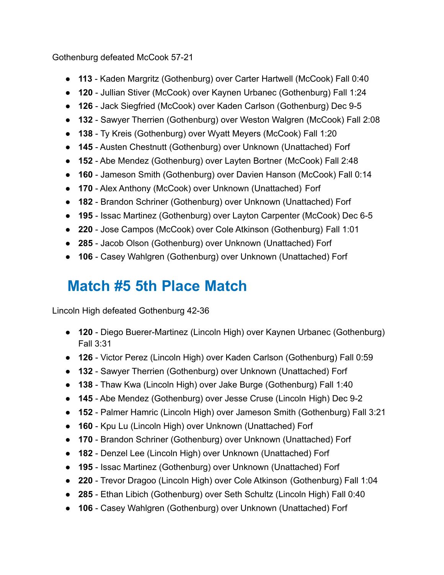Gothenburg defeated McCook 57-21

- **113** Kaden Margritz (Gothenburg) over Carter Hartwell (McCook) Fall 0:40
- **120** Jullian Stiver (McCook) over Kaynen Urbanec (Gothenburg) Fall 1:24
- **126** Jack Siegfried (McCook) over Kaden Carlson (Gothenburg) Dec 9-5
- **132** Sawyer Therrien (Gothenburg) over Weston Walgren (McCook) Fall 2:08
- **138** Ty Kreis (Gothenburg) over Wyatt Meyers (McCook) Fall 1:20
- **145** Austen Chestnutt (Gothenburg) over Unknown (Unattached) Forf
- **152** Abe Mendez (Gothenburg) over Layten Bortner (McCook) Fall 2:48
- **160** Jameson Smith (Gothenburg) over Davien Hanson (McCook) Fall 0:14
- **170** Alex Anthony (McCook) over Unknown (Unattached) Forf
- **182** Brandon Schriner (Gothenburg) over Unknown (Unattached) Forf
- **195** Issac Martinez (Gothenburg) over Layton Carpenter (McCook) Dec 6-5
- **220** Jose Campos (McCook) over Cole Atkinson (Gothenburg) Fall 1:01
- **285** Jacob Olson (Gothenburg) over Unknown (Unattached) Forf
- **106** Casey Wahlgren (Gothenburg) over Unknown (Unattached) Forf

# **Match #5 5th Place Match**

Lincoln High defeated Gothenburg 42-36

- **120** Diego Buerer-Martinez (Lincoln High) over Kaynen Urbanec (Gothenburg) Fall 3:31
- **126** Victor Perez (Lincoln High) over Kaden Carlson (Gothenburg) Fall 0:59
- **132** Sawyer Therrien (Gothenburg) over Unknown (Unattached) Forf
- **138** Thaw Kwa (Lincoln High) over Jake Burge (Gothenburg) Fall 1:40
- **145** Abe Mendez (Gothenburg) over Jesse Cruse (Lincoln High) Dec 9-2
- **152** Palmer Hamric (Lincoln High) over Jameson Smith (Gothenburg) Fall 3:21
- **160** Kpu Lu (Lincoln High) over Unknown (Unattached) Forf
- **170** Brandon Schriner (Gothenburg) over Unknown (Unattached) Forf
- **182** Denzel Lee (Lincoln High) over Unknown (Unattached) Forf
- **195** Issac Martinez (Gothenburg) over Unknown (Unattached) Forf
- **220** Trevor Dragoo (Lincoln High) over Cole Atkinson (Gothenburg) Fall 1:04
- **285** Ethan Libich (Gothenburg) over Seth Schultz (Lincoln High) Fall 0:40
- **106** Casey Wahlgren (Gothenburg) over Unknown (Unattached) Forf